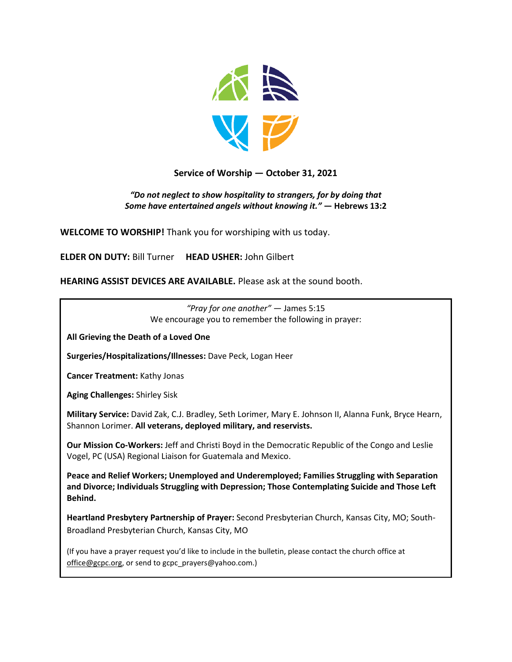

#### **Service of Worship — October 31, 2021**

#### *"Do not neglect to show hospitality to strangers, for by doing that Some have entertained angels without knowing it."* **— Hebrews 13:2**

**WELCOME TO WORSHIP!** Thank you for worshiping with us today.

**ELDER ON DUTY:** Bill Turner **HEAD USHER:** John Gilbert

**HEARING ASSIST DEVICES ARE AVAILABLE.** Please ask at the sound booth.

*"Pray for one another"* — James 5:15 We encourage you to remember the following in prayer:

**All Grieving the Death of a Loved One**

**Surgeries/Hospitalizations/Illnesses:** Dave Peck, Logan Heer

**Cancer Treatment:** Kathy Jonas

**Aging Challenges:** Shirley Sisk

**Military Service:** David Zak, C.J. Bradley, Seth Lorimer, Mary E. Johnson II, Alanna Funk, Bryce Hearn, Shannon Lorimer. **All veterans, deployed military, and reservists.**

**Our Mission Co-Workers:** Jeff and Christi Boyd in the Democratic Republic of the Congo and Leslie Vogel, PC (USA) Regional Liaison for Guatemala and Mexico.

**Peace and Relief Workers; Unemployed and Underemployed; Families Struggling with Separation and Divorce; Individuals Struggling with Depression; Those Contemplating Suicide and Those Left Behind.**

**Heartland Presbytery Partnership of Prayer:** Second Presbyterian Church, Kansas City, MO; South-Broadland Presbyterian Church, Kansas City, MO

(If you have a prayer request you'd like to include in the bulletin, please contact the church office at [office@gcpc.org,](mailto:office@gcpc.org) or send to gcpc\_prayers@yahoo.com.)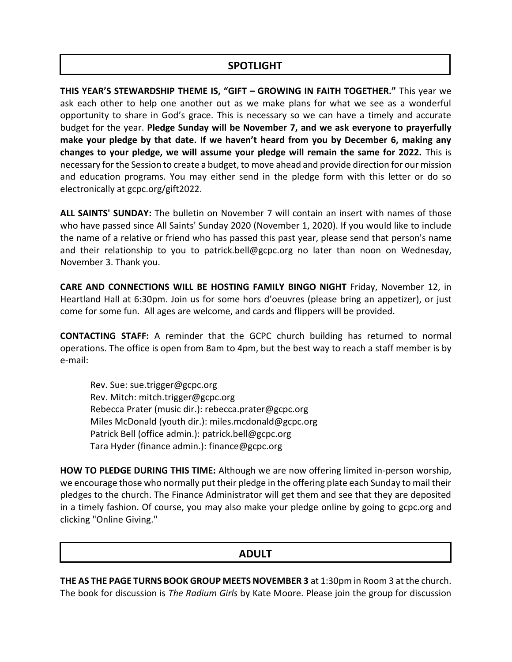### **SPOTLIGHT**

**THIS YEAR'S STEWARDSHIP THEME IS, "GIFT – GROWING IN FAITH TOGETHER."** This year we ask each other to help one another out as we make plans for what we see as a wonderful opportunity to share in God's grace. This is necessary so we can have a timely and accurate budget for the year. **Pledge Sunday will be November 7, and we ask everyone to prayerfully make your pledge by that date. If we haven't heard from you by December 6, making any changes to your pledge, we will assume your pledge will remain the same for 2022.** This is necessary for the Session to create a budget, to move ahead and provide direction for our mission and education programs. You may either send in the pledge form with this letter or do so electronically at [gcpc.org/gift2022.](https://t.e2ma.net/click/04xfxf/k81kdig/4rim3v)

**ALL SAINTS' SUNDAY:** The bulletin on November 7 will contain an insert with names of those who have passed since All Saints' Sunday 2020 (November 1, 2020). If you would like to include the name of a relative or friend who has passed this past year, please send that person's name and their relationship to you to patrick.bell@gcpc.org no later than noon on Wednesday, November 3. Thank you.

**CARE AND CONNECTIONS WILL BE HOSTING FAMILY BINGO NIGHT** Friday, November 12, in Heartland Hall at 6:30pm. Join us for some hors d'oeuvres (please bring an appetizer), or just come for some fun. All ages are welcome, and cards and flippers will be provided.

**CONTACTING STAFF:** A reminder that the GCPC church building has returned to normal operations. The office is open from 8am to 4pm, but the best way to reach a staff member is by e-mail:

Rev. Sue: [sue.trigger@gcpc.org](mailto:sue.trigger@gcpc.org) Rev. Mitch: [mitch.trigger@gcpc.org](mailto:mitch.trigger@gcpc.org) Rebecca Prater (music dir.): [rebecca.prater@gcpc.org](mailto:rebecca.prater@gcpc.org) Miles McDonald (youth dir.): [miles.mcdonald@gcpc.org](mailto:miles.mcdonald@gcpc.org) Patrick Bell (office admin.): [patrick.bell@gcpc.org](mailto:patrick.bell@gcpc.org) Tara Hyder (finance admin.): [finance@gcpc.org](mailto:finance@gcpc.org)

**HOW TO PLEDGE DURING THIS TIME:** Although we are now offering limited in-person worship, we encourage those who normally put their pledge in the offering plate each Sunday to mail their pledges to the church. The Finance Administrator will get them and see that they are deposited in a timely fashion. Of course, you may also make your pledge online by going to [gcpc.org](https://gcpc.org/about-us/donate.html) and clicking "Online Giving."

## **ADULT**

**THE AS THE PAGE TURNS BOOK GROUP MEETS NOVEMBER 3** at 1:30pm in Room 3 at the church. The book for discussion is *The Radium Girls* by Kate Moore. Please join the group for discussion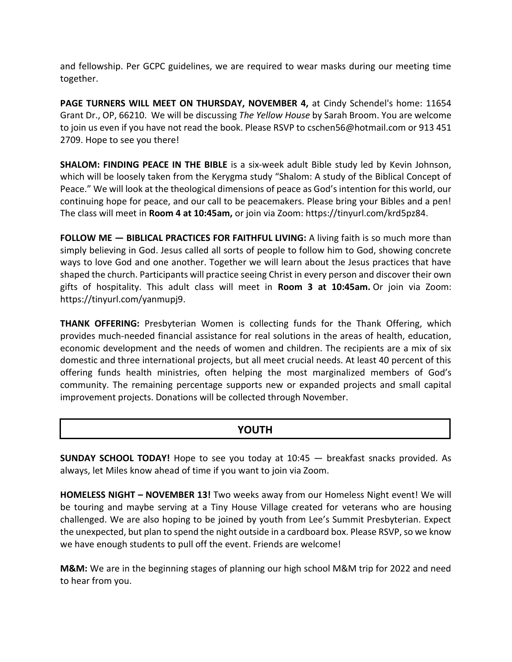and fellowship. Per GCPC guidelines, we are required to wear masks during our meeting time together.

**PAGE TURNERS WILL MEET ON THURSDAY, NOVEMBER 4,** at Cindy Schendel's home: 11654 Grant Dr., OP, 66210. We will be discussing *The Yellow House* by Sarah Broom. You are welcome to join us even if you have not read the book. Please RSVP t[o cschen56@hotmail.com](mailto:cschen56@hotmail.com) or 913 451 2709. Hope to see you there!

**SHALOM: FINDING PEACE IN THE BIBLE** is a six-week adult Bible study led by Kevin Johnson, which will be loosely taken from the Kerygma study "Shalom: A study of the Biblical Concept of Peace." We will look at the theological dimensions of peace as God's intention for this world, our continuing hope for peace, and our call to be peacemakers. Please bring your Bibles and a pen! The class will meet in **Room 4 at 10:45am,** or join via Zoom: [https://tinyurl.com/krd5pz84.](https://tinyurl.com/krd5pz84)

**FOLLOW ME — BIBLICAL PRACTICES FOR FAITHFUL LIVING:** A living faith is so much more than simply believing in God. Jesus called all sorts of people to follow him to God, showing concrete ways to love God and one another. Together we will learn about the Jesus practices that have shaped the church. Participants will practice seeing Christ in every person and discover their own gifts of hospitality. This adult class will meet in **Room 3 at 10:45am.** Or join via Zoom: [https://tinyurl.com/yanmupj9.](https://tinyurl.com/yanmupj9)

**THANK OFFERING:** Presbyterian Women is collecting funds for the Thank Offering, which provides much-needed financial assistance for real solutions in the areas of health, education, economic development and the needs of women and children. The recipients are a mix of six domestic and three international projects, but all meet crucial needs. At least 40 percent of this offering funds health ministries, often helping the most marginalized members of God's community. The remaining percentage supports new or expanded projects and small capital improvement projects. Donations will be collected through November.

## **YOUTH**

**SUNDAY SCHOOL TODAY!** Hope to see you today at 10:45 — breakfast snacks provided. As always, let Miles know ahead of time if you want to join via Zoom.

**HOMELESS NIGHT – NOVEMBER 13!** Two weeks away from our Homeless Night event! We will be touring and maybe serving at a Tiny House Village created for veterans who are housing challenged. We are also hoping to be joined by youth from Lee's Summit Presbyterian. Expect the unexpected, but plan to spend the night outside in a cardboard box. Please RSVP, so we know we have enough students to pull off the event. Friends are welcome!

**M&M:** We are in the beginning stages of planning our high school M&M trip for 2022 and need to hear from you.